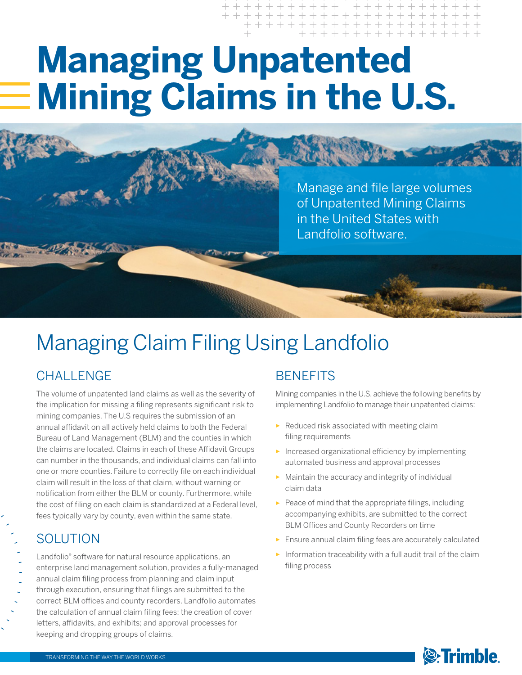# **Managing Unpatented Mining Claims in the U.S.**

Manage and file large volumes of Unpatented Mining Claims in the United States with Landfolio software.

# Managing Claim Filing Using Landfolio

## **CHALLENGE**

The volume of unpatented land claims as well as the severity of the implication for missing a filing represents significant risk to mining companies. The U.S requires the submission of an annual affidavit on all actively held claims to both the Federal Bureau of Land Management (BLM) and the counties in which the claims are located. Claims in each of these Affidavit Groups can number in the thousands, and individual claims can fall into one or more counties. Failure to correctly file on each individual claim will result in the loss of that claim, without warning or notification from either the BLM or county. Furthermore, while the cost of filing on each claim is standardized at a Federal level, fees typically vary by county, even within the same state.

## SOLUTION

Landfolio® software for natural resource applications, an enterprise land management solution, provides a fully-managed annual claim filing process from planning and claim input through execution, ensuring that filings are submitted to the correct BLM offices and county recorders. Landfolio automates the calculation of annual claim filing fees; the creation of cover letters, affidavits, and exhibits; and approval processes for keeping and dropping groups of claims.

## **BENEFITS**

Mining companies in the U.S. achieve the following benefits by implementing Landfolio to manage their unpatented claims:

- ► Reduced risk associated with meeting claim filing requirements
- ► Increased organizational efficiency by implementing automated business and approval processes
- ► Maintain the accuracy and integrity of individual claim data
- $\blacktriangleright$  Peace of mind that the appropriate filings, including accompanying exhibits, are submitted to the correct BLM Offices and County Recorders on time
- Ensure annual claim filing fees are accurately calculated
- ► Information traceability with a full audit trail of the claim filing process